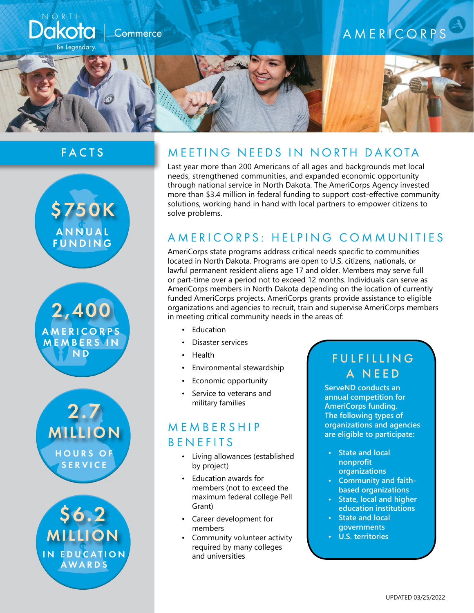

### FACTS







IN EDUCATION AWARDS \$6.2 MILLION

# MEETING NEEDS IN NORTH DAKOTA

Last year more than 200 Americans of all ages and backgrounds met local needs, strengthened communities, and expanded economic opportunity through national service in North Dakota. The AmeriCorps Agency invested more than \$3.4 million in federal funding to support cost-effective community solutions, working hand in hand with local partners to empower citizens to solve problems.

### AMERICORPS: HELPING COMMUNITIES

AmeriCorps state programs address critical needs specific to communities located in North Dakota. Programs are open to U.S. citizens, nationals, or lawful permanent resident aliens age 17 and older. Members may serve full or part-time over a period not to exceed 12 months. Individuals can serve as AmeriCorps members in North Dakota depending on the location of currently funded AmeriCorps projects. AmeriCorps grants provide assistance to eligible organizations and agencies to recruit, train and supervise AmeriCorps members in meeting critical community needs in the areas of:

- **Education**
- Disaster services
- Health
- Environmental stewardship
- Economic opportunity
- Service to veterans and military families

# M E M B E R S H I P **BENEFITS**

- Living allowances (established by project)
- Education awards for members (not to exceed the maximum federal college Pell Grant)
- Career development for members
- Community volunteer activity required by many colleges and universities

# **FULFILLING** A NEED

**ServeND conducts an annual competition for AmeriCorps funding. The following types of organizations and agencies are eligible to participate:** 

- **• State and local nonprofit organizations**
- **• Community and faithbased organizations**
- **• State, local and higher education institutions**
- **• State and local governments**
- **• U.S. territories**